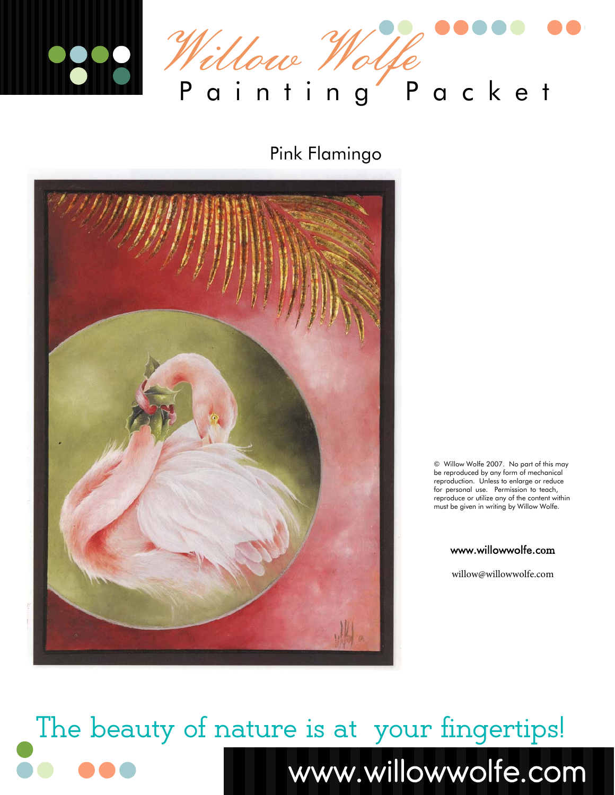

# Pink Flamingo



© Willow Wolfe 2007. No part of this may be reproduced by any form of mechanical reproduction. Unless to enlarge or reduce for personal use. Permission to teach, reproduce or utilize any of the content within must be given in writing by Willow Wolfe.

#### www.willowwolfe.com

willow@willowwolfe.com

The beauty of nature is at your fingertips! www.willowwolfe.com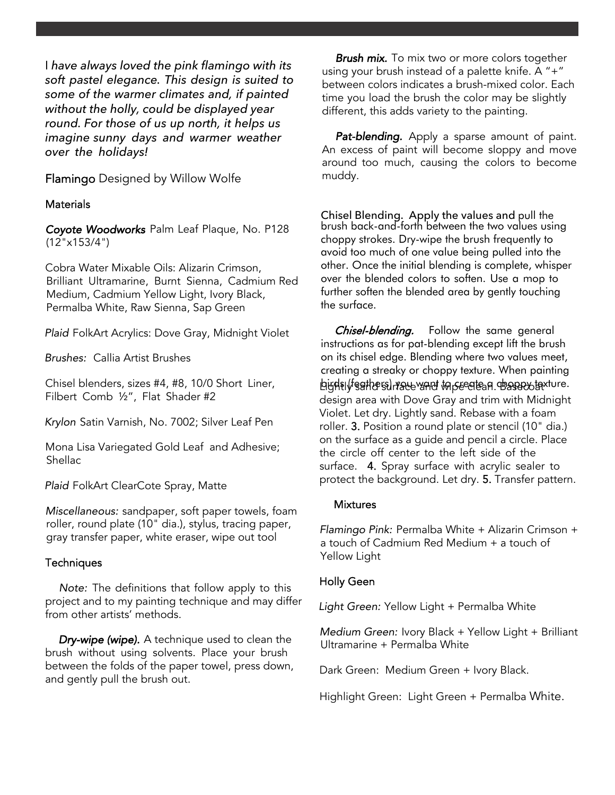I *have always loved the pink flamingo with its soft pastel elegance. This design is suited to some of the warmer climates and, if painted without the holly, could be displayed year round. For those of us up north, it helps us imagine sunny days and warmer weather over the holidays!* 

Flamingo Designed by Willow Wolfe

## **Materials**

Coyote Woodworks Palm Leaf Plaque, No. P128 (12"x153/4")

Cobra Water Mixable Oils: Alizarin Crimson, Brilliant Ultramarine, Burnt Sienna, Cadmium Red Medium, Cadmium Yellow Light, Ivory Black, Permalba White, Raw Sienna, Sap Green

Plaid FolkArt Acrylics: Dove Gray, Midnight Violet

Brushes: Callia Artist Brushes

Chisel blenders, sizes #4, #8, 10/0 Short Liner, Filbert Comb ½", Flat Shader #2

Krylon Satin Varnish, No. 7002; Silver Leaf Pen

Mona Lisa Variegated Gold Leaf and Adhesive; Shellac

Plaid FolkArt ClearCote Spray, Matte

Miscellaneous: sandpaper, soft paper towels, foam roller, round plate (10" dia.), stylus, tracing paper, gray transfer paper, white eraser, wipe out tool

## **Techniques**

Note: The definitions that follow apply to this project and to my painting technique and may differ from other artists' methods.

Dry-wipe (wipe). A technique used to clean the brush without using solvents. Place your brush between the folds of the paper towel, press down, and gently pull the brush out.

**Brush mix.** To mix two or more colors together using your brush instead of a palette knife. A "+" between colors indicates a brush-mixed color. Each time you load the brush the color may be slightly different, this adds variety to the painting.

Pat-blending. Apply a sparse amount of paint. An excess of paint will become sloppy and move around too much, causing the colors to become muddy.

Chisel Blending. Apply the values and pull the brush back-and-forth between the two values using choppy strokes. Dry-wipe the brush frequently to avoid too much of one value being pulled into the other. Once the initial blending is complete, whisper over the blended colors to soften. Use a mop to further soften the blended area by gently touching the surface.

Chisel-blending. Follow the same general instructions as for pat-blending except lift the brush on its chisel edge. Blending where two values meet, creating a streaky or choppy texture. When painting bightly sations of ware wand to create a chospoot faxture. design area with Dove Gray and trim with Midnight Violet. Let dry. Lightly sand. Rebase with a foam roller. 3. Position a round plate or stencil (10" dia.) on the surface as a guide and pencil a circle. Place the circle off center to the left side of the surface. 4. Spray surface with acrylic sealer to protect the background. Let dry. 5. Transfer pattern.

## **Mixtures**

Flamingo Pink: Permalba White + Alizarin Crimson + a touch of Cadmium Red Medium + a touch of Yellow Light

## Holly Geen

Light Green: Yellow Light + Permalba White

Medium Green: Ivory Black + Yellow Light + Brilliant Ultramarine + Permalba White

Dark Green: Medium Green + Ivory Black.

Highlight Green: Light Green + Permalba White.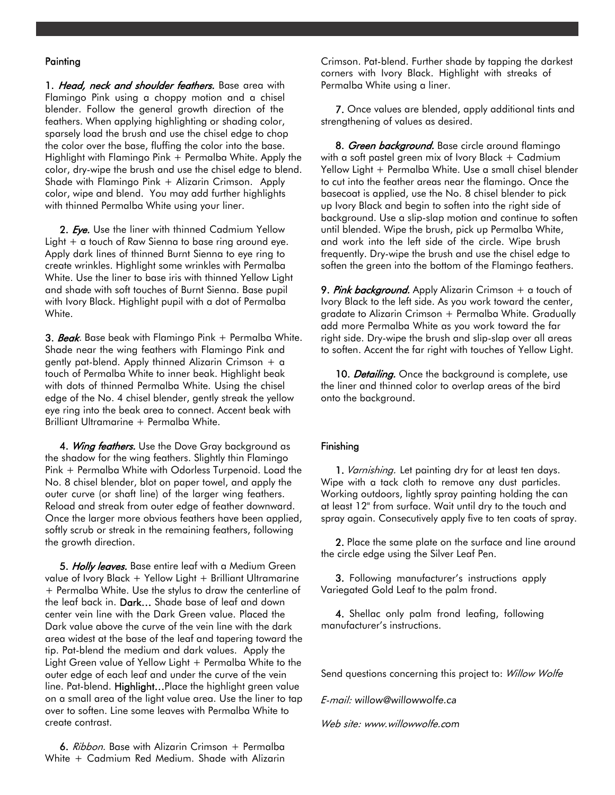#### **Painting**

1. Head, neck and shoulder feathers. Base area with Flamingo Pink using a choppy motion and a chisel blender. Follow the general growth direction of the feathers. When applying highlighting or shading color, sparsely load the brush and use the chisel edge to chop the color over the base, fluffing the color into the base. Highlight with Flamingo Pink + Permalba White. Apply the color, dry-wipe the brush and use the chisel edge to blend. Shade with Flamingo Pink + Alizarin Crimson. Apply color, wipe and blend. You may add further highlights with thinned Permalba White using your liner.

2. Eye. Use the liner with thinned Cadmium Yellow Light + a touch of Raw Sienna to base ring around eye. Apply dark lines of thinned Burnt Sienna to eye ring to create wrinkles. Highlight some wrinkles with Permalba White. Use the liner to base iris with thinned Yellow Light and shade with soft touches of Burnt Sienna. Base pupil with Ivory Black. Highlight pupil with a dot of Permalba White.

3. Beak. Base beak with Flamingo Pink + Permalba White. Shade near the wing feathers with Flamingo Pink and gently pat-blend. Apply thinned Alizarin Crimson + a touch of Permalba White to inner beak. Highlight beak with dots of thinned Permalba White. Using the chisel edge of the No. 4 chisel blender, gently streak the yellow eye ring into the beak area to connect. Accent beak with Brilliant Ultramarine + Permalba White.

4. Wing feathers. Use the Dove Gray background as the shadow for the wing feathers. Slightly thin Flamingo Pink + Permalba White with Odorless Turpenoid. Load the No. 8 chisel blender, blot on paper towel, and apply the outer curve (or shaft line) of the larger wing feathers. Reload and streak from outer edge of feather downward. Once the larger more obvious feathers have been applied, softly scrub or streak in the remaining feathers, following the growth direction.

5. Holly leaves. Base entire leaf with a Medium Green value of Ivory Black + Yellow Light + Brilliant Ultramarine + Permalba White. Use the stylus to draw the centerline of the leaf back in. Dark... Shade base of leaf and down center vein line with the Dark Green value. Placed the Dark value above the curve of the vein line with the dark area widest at the base of the leaf and tapering toward the tip. Pat-blend the medium and dark values. Apply the Light Green value of Yellow Light + Permalba White to the outer edge of each leaf and under the curve of the vein line. Pat-blend. Highlight…Place the highlight green value on a small area of the light value area. Use the liner to tap over to soften. Line some leaves with Permalba White to create contrast.

6. Ribbon. Base with Alizarin Crimson + Permalba White + Cadmium Red Medium. Shade with Alizarin

Crimson. Pat-blend. Further shade by tapping the darkest corners with Ivory Black. Highlight with streaks of Permalba White using a liner.

7. Once values are blended, apply additional tints and strengthening of values as desired.

8. Green background. Base circle around flamingo with a soft pastel green mix of Ivory Black + Cadmium Yellow Light + Permalba White. Use a small chisel blender to cut into the feather areas near the flamingo. Once the basecoat is applied, use the No. 8 chisel blender to pick up Ivory Black and begin to soften into the right side of background. Use a slip-slap motion and continue to soften until blended. Wipe the brush, pick up Permalba White, and work into the left side of the circle. Wipe brush frequently. Dry-wipe the brush and use the chisel edge to soften the green into the bottom of the Flamingo feathers.

9. Pink background. Apply Alizarin Crimson  $+$  a touch of Ivory Black to the left side. As you work toward the center, gradate to Alizarin Crimson + Permalba White. Gradually add more Permalba White as you work toward the far right side. Dry-wipe the brush and slip-slap over all areas to soften. Accent the far right with touches of Yellow Light.

10. Detailing. Once the background is complete, use the liner and thinned color to overlap areas of the bird onto the background.

#### Finishing

1. Varnishing. Let painting dry for at least ten days. Wipe with a tack cloth to remove any dust particles. Working outdoors, lightly spray painting holding the can at least 12" from surface. Wait until dry to the touch and spray again. Consecutively apply five to ten coats of spray.

2. Place the same plate on the surface and line around the circle edge using the Silver Leaf Pen.

3. Following manufacturer's instructions apply Variegated Gold Leaf to the palm frond.

4. Shellac only palm frond leafing, following manufacturer's instructions.

Send questions concerning this project to: Willow Wolfe

E-mail: willow@willowwolfe.ca

Web site: www.willowwolfe.com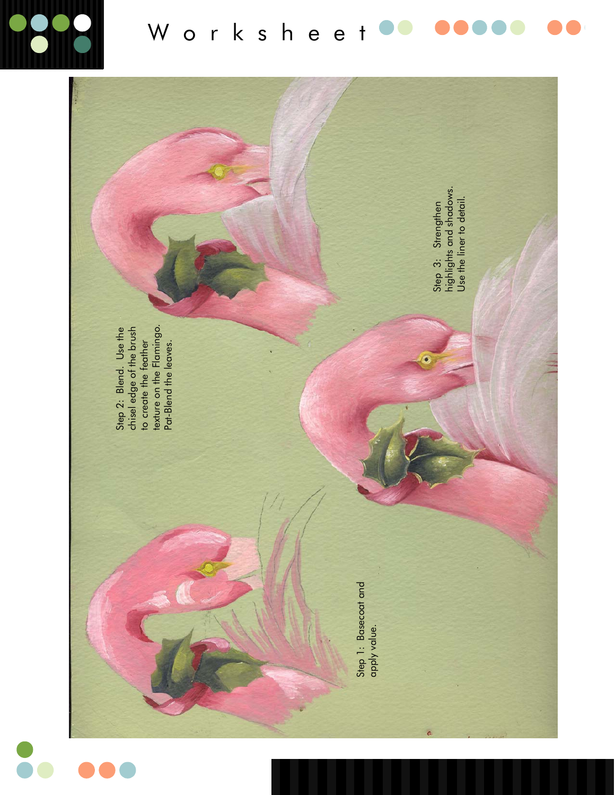

Worksheet